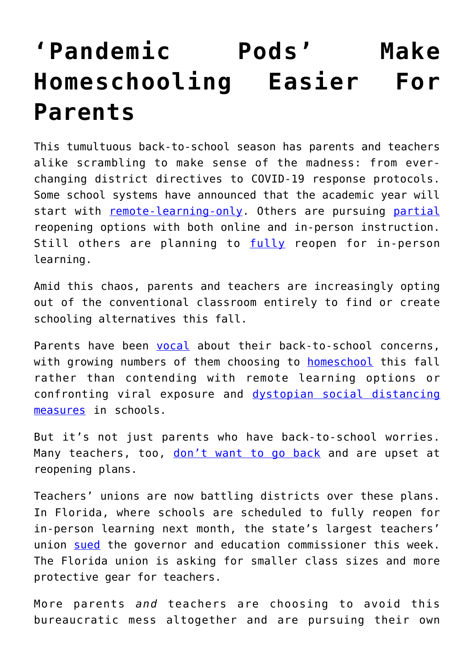## **['Pandemic Pods' Make](https://intellectualtakeout.org/2020/07/pandemic-pods-make-homeschooling-easier-for-parents/) [Homeschooling Easier For](https://intellectualtakeout.org/2020/07/pandemic-pods-make-homeschooling-easier-for-parents/) [Parents](https://intellectualtakeout.org/2020/07/pandemic-pods-make-homeschooling-easier-for-parents/)**

This tumultuous back-to-school season has parents and teachers alike scrambling to make sense of the madness: from everchanging district directives to COVID-19 response protocols. Some school systems have announced that the academic year will start with [remote-learning-only.](https://www.npr.org/sections/coronavirus-live-updates/2020/07/13/890475212/los-angeles-and-san-diego-schools-announce-online-only-fall) Others are pursuing [partial](https://www.nytimes.com/2020/07/08/nyregion/nyc-schools-reopening-plan.html) reopening options with both online and in-person instruction. Still others are planning to [fully](https://www.npr.org/sections/coronavirus-live-updates/2020/07/07/888320203/florida-orders-schools-to-reopen-in-the-fall-for-in-person-instruction) reopen for in-person learning.

Amid this chaos, parents and teachers are increasingly opting out of the conventional classroom entirely to find or create schooling alternatives this fall.

Parents have been [vocal](https://nypost.com/2020/07/15/79-of-new-yorkers-open-to-homeschooling-post-covid-19-poll/) about their back-to-school concerns, with growing numbers of them choosing to [homeschool](https://fee.org/articles/back-to-school-no-thanks-say-millions-of-new-homeschooling-parents/?itm_source=parsely-api) this fall rather than contending with remote learning options or confronting viral exposure and [dystopian social distancing](https://fee.org/articles/the-cdc-s-guidelines-for-back-to-school-under-covid-sound-traumatizing/) [measures](https://fee.org/articles/the-cdc-s-guidelines-for-back-to-school-under-covid-sound-traumatizing/) in schools.

But it's not just parents who have back-to-school worries. Many teachers, too, [don't want to go back](https://www.nytimes.com/2020/07/11/us/virus-teachers-classrooms.html) and are upset at reopening plans.

Teachers' unions are now battling districts over these plans. In Florida, where schools are scheduled to fully reopen for in-person learning next month, the state's largest teachers' union [sued](https://www.washingtonpost.com/politics/florida-teachers-union-sues-over-return-to-in-person-classes-as-debate-over-school-during-the-pandemic-intensifies/2020/07/20/e3376ba8-ca9c-11ea-b0e3-d55bda07d66a_story.html) the governor and education commissioner this week. The Florida union is asking for smaller class sizes and more protective gear for teachers.

More parents *and* teachers are choosing to avoid this bureaucratic mess altogether and are pursuing their own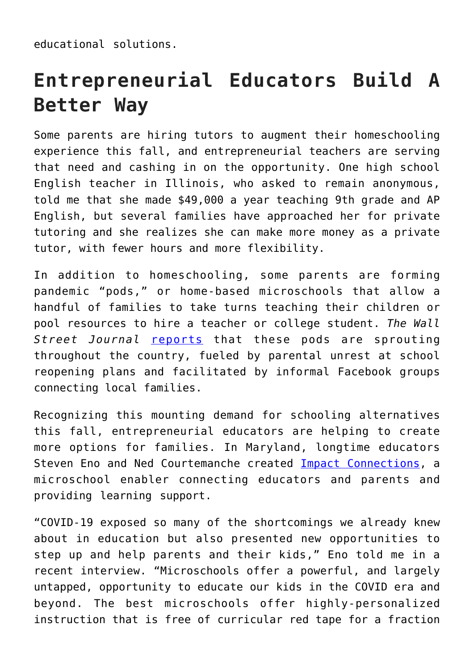educational solutions.

## **Entrepreneurial Educators Build A Better Way**

Some parents are hiring tutors to augment their homeschooling experience this fall, and entrepreneurial teachers are serving that need and cashing in on the opportunity. One high school English teacher in Illinois, who asked to remain anonymous, told me that she made \$49,000 a year teaching 9th grade and AP English, but several families have approached her for private tutoring and she realizes she can make more money as a private tutor, with fewer hours and more flexibility.

In addition to homeschooling, some parents are forming pandemic "pods," or home-based microschools that allow a handful of families to take turns teaching their children or pool resources to hire a teacher or college student. *The Wall Street Journal* [reports](https://www.wsj.com/articles/amid-coronavirus-parents-pod-up-to-form-at-home-schools-11595323805?mod=hp_listc_pos3) that these pods are sprouting throughout the country, fueled by parental unrest at school reopening plans and facilitated by informal Facebook groups connecting local families.

Recognizing this mounting demand for schooling alternatives this fall, entrepreneurial educators are helping to create more options for families. In Maryland, longtime educators Steven Eno and Ned Courtemanche created **[Impact Connections](https://impactconnections.org)**, a microschool enabler connecting educators and parents and providing learning support.

"COVID-19 exposed so many of the shortcomings we already knew about in education but also presented new opportunities to step up and help parents and their kids," Eno told me in a recent interview. "Microschools offer a powerful, and largely untapped, opportunity to educate our kids in the COVID era and beyond. The best microschools offer highly-personalized instruction that is free of curricular red tape for a fraction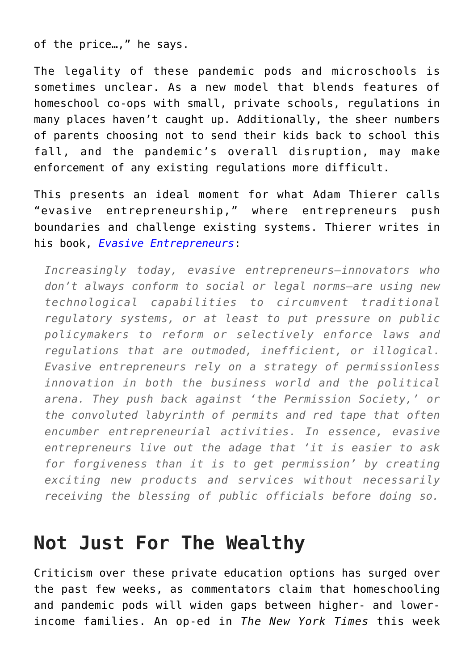of the price…," he says.

The legality of these pandemic pods and microschools is sometimes unclear. As a new model that blends features of homeschool co-ops with small, private schools, regulations in many places haven't caught up. Additionally, the sheer numbers of parents choosing not to send their kids back to school this fall, and the pandemic's overall disruption, may make enforcement of any existing regulations more difficult.

This presents an ideal moment for what Adam Thierer calls "evasive entrepreneurship," where entrepreneurs push boundaries and challenge existing systems. Thierer writes in his book, *[Evasive Entrepreneurs](https://www.amazon.com/Evasive-Entrepreneurs-Innovation-Economies-Governments/dp/1948647761/ref=tmm_pap_swatch_0?_encoding=UTF8&qid=&sr=)*:

*Increasingly today, evasive entrepreneurs–innovators who don't always conform to social or legal norms–are using new technological capabilities to circumvent traditional regulatory systems, or at least to put pressure on public policymakers to reform or selectively enforce laws and regulations that are outmoded, inefficient, or illogical. Evasive entrepreneurs rely on a strategy of permissionless innovation in both the business world and the political arena. They push back against 'the Permission Society,' or the convoluted labyrinth of permits and red tape that often encumber entrepreneurial activities. In essence, evasive entrepreneurs live out the adage that 'it is easier to ask for forgiveness than it is to get permission' by creating exciting new products and services without necessarily receiving the blessing of public officials before doing so.*

## **Not Just For The Wealthy**

Criticism over these private education options has surged over the past few weeks, as commentators claim that homeschooling and pandemic pods will widen gaps between higher- and lowerincome families. An op-ed in *The New York Times* this week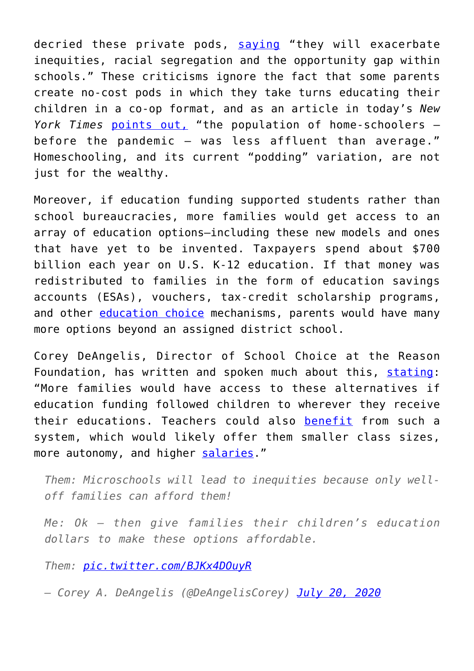decried these private pods, [saying](https://www.nytimes.com/2020/07/22/opinion/pandemic-pods-schools.html) "they will exacerbate inequities, racial segregation and the opportunity gap within schools." These criticisms ignore the fact that some parents create no-cost pods in which they take turns educating their children in a co-op format, and as an article in today's *New York Times* [points out,](https://www.nytimes.com/2020/07/23/briefing/home-schooling-coronavirus-portland-your-thursday-briefing.html) "the population of home-schoolers before the pandemic  $-$  was less affluent than average." Homeschooling, and its current "podding" variation, are not just for the wealthy.

Moreover, if education funding supported students rather than school bureaucracies, more families would get access to an array of education options–including these new models and ones that have yet to be invented. Taxpayers spend about \$700 billion each year on U.S. K-12 education. If that money was redistributed to families in the form of education savings accounts (ESAs), vouchers, tax-credit scholarship programs, and other [education choice](https://www.edchoice.org/school-choice/types-of-school-choice/) mechanisms, parents would have many more options beyond an assigned district school.

Corey DeAngelis, Director of School Choice at the Reason Foundation, has written and spoken much about this, [stating:](https://reason.org/commentary/video-the-coronavirus-pandemic-reopening-schools-and-fixing-school-finance-systems/) "More families would have access to these alternatives if education funding followed children to wherever they receive their educations. Teachers could also [benefit](https://www.washingtonexaminer.com/opinion/school-choice-benefits-teachers-too) from such a system, which would likely offer them smaller class sizes, more autonomy, and higher [salaries.](https://twitter.com/DeAngelisCorey/status/1283922534744952832)"

*Them: Microschools will lead to inequities because only welloff families can afford them!*

*Me: Ok – then give families their children's education dollars to make these options affordable.*

*Them: [pic.twitter.com/BJKx4DOuyR](https://t.co/BJKx4DOuyR)*

*— Corey A. DeAngelis (@DeAngelisCorey) [July 20, 2020](https://twitter.com/DeAngelisCorey/status/1285224691335127042?ref_src=twsrc%5Etfw)*